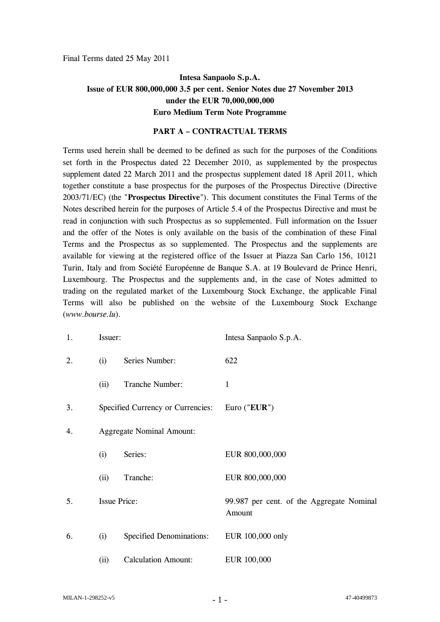Final Terms dated 25 May 2011

# **Intesa Sanpaolo S.p.A. Issue of EUR 800,000,000 3.5 per cent. Senior Notes due 27 November 2013 under the EUR 70,000,000,000 Euro Medium Term Note Programme**

#### **PART A – CONTRACTUAL TERMS**

Terms used herein shall be deemed to be defined as such for the purposes of the Conditions set forth in the Prospectus dated 22 December 2010, as supplemented by the prospectus supplement dated 22 March 2011 and the prospectus supplement dated 18 April 2011, which together constitute a base prospectus for the purposes of the Prospectus Directive (Directive 2003/71/EC) (the "**Prospectus Directive**"). This document constitutes the Final Terms of the Notes described herein for the purposes of Article 5.4 of the Prospectus Directive and must be read in conjunction with such Prospectus as so supplemented. Full information on the Issuer and the offer of the Notes is only available on the basis of the combination of these Final Terms and the Prospectus as so supplemented. The Prospectus and the supplements are available for viewing at the registered office of the Issuer at Piazza San Carlo 156, 10121 Turin, Italy and from Société Européenne de Banque S.A. at 19 Boulevard de Prince Henri, Luxembourg. The Prospectus and the supplements and, in the case of Notes admitted to trading on the regulated market of the Luxembourg Stock Exchange, the applicable Final Terms will also be published on the website of the Luxembourg Stock Exchange (*www.bourse.lu*).

| 1. | Issuer: |                                   | Intesa Sanpaolo S.p.A.                              |
|----|---------|-----------------------------------|-----------------------------------------------------|
| 2. | (i)     | Series Number:                    | 622                                                 |
|    | (ii)    | Tranche Number:                   | $\mathbf{1}$                                        |
| 3. |         | Specified Currency or Currencies: | Euro (" $EUR$ ")                                    |
| 4. |         | <b>Aggregate Nominal Amount:</b>  |                                                     |
|    | (i)     | Series:                           | EUR 800,000,000                                     |
|    | (ii)    | Tranche:                          | EUR 800,000,000                                     |
| 5. |         | <b>Issue Price:</b>               | 99.987 per cent. of the Aggregate Nominal<br>Amount |
| 6. | (i)     | Specified Denominations:          | EUR 100,000 only                                    |
|    | (ii)    | <b>Calculation Amount:</b>        | EUR 100,000                                         |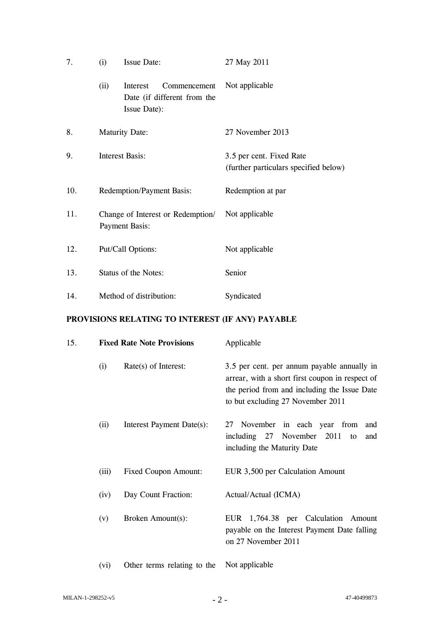| 7.  | (i)                                                        | <b>Issue Date:</b>                                                      | 27 May 2011                                                       |
|-----|------------------------------------------------------------|-------------------------------------------------------------------------|-------------------------------------------------------------------|
|     | (ii)                                                       | Interest<br>Commencement<br>Date (if different from the<br>Issue Date): | Not applicable                                                    |
| 8.  |                                                            | <b>Maturity Date:</b>                                                   | 27 November 2013                                                  |
| 9.  |                                                            | <b>Interest Basis:</b>                                                  | 3.5 per cent. Fixed Rate<br>(further particulars specified below) |
| 10. | <b>Redemption/Payment Basis:</b>                           |                                                                         | Redemption at par                                                 |
| 11. | Change of Interest or Redemption/<br><b>Payment Basis:</b> |                                                                         | Not applicable                                                    |
| 12. |                                                            | Put/Call Options:                                                       | Not applicable                                                    |
| 13. | Status of the Notes:                                       |                                                                         | Senior                                                            |
| 14. | Method of distribution:                                    |                                                                         | Syndicated                                                        |

## **PROVISIONS RELATING TO INTEREST (IF ANY) PAYABLE**

| 15. |       | <b>Fixed Rate Note Provisions</b> | Applicable                                                                                                                                                                          |
|-----|-------|-----------------------------------|-------------------------------------------------------------------------------------------------------------------------------------------------------------------------------------|
|     | (i)   | Rate(s) of Interest:              | 3.5 per cent. per annum payable annually in<br>arrear, with a short first coupon in respect of<br>the period from and including the Issue Date<br>to but excluding 27 November 2011 |
|     | (ii)  | Interest Payment Date(s):         | November in each year from<br>27<br>and<br>including 27 November 2011<br>and<br>to<br>including the Maturity Date                                                                   |
|     | (iii) | <b>Fixed Coupon Amount:</b>       | EUR 3,500 per Calculation Amount                                                                                                                                                    |
|     | (iv)  | Day Count Fraction:               | Actual/Actual (ICMA)                                                                                                                                                                |
|     | (v)   | Broken Amount(s):                 | EUR 1,764.38 per Calculation Amount<br>payable on the Interest Payment Date falling<br>on 27 November 2011                                                                          |
|     | (vi)  | Other terms relating to the       | Not applicable                                                                                                                                                                      |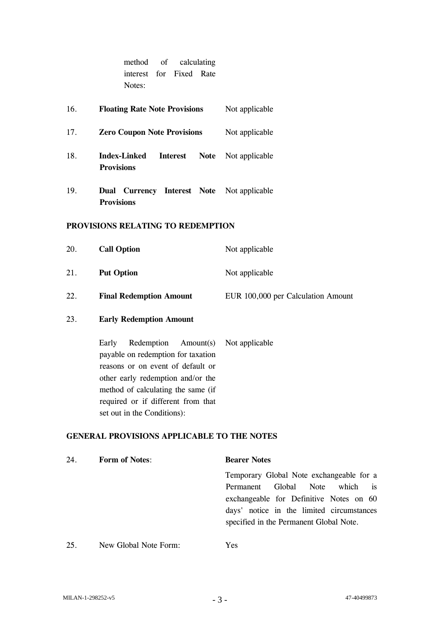|     | method<br>of calculating<br>interest for Fixed Rate<br>Notes:          |                |
|-----|------------------------------------------------------------------------|----------------|
| 16. | <b>Floating Rate Note Provisions</b>                                   | Not applicable |
| 17. | <b>Zero Coupon Note Provisions</b>                                     | Not applicable |
| 18. | <b>Index-Linked</b><br><b>Interest</b><br>Note<br><b>Provisions</b>    | Not applicable |
| 19. | <b>Dual Currency Interest Note</b> Not applicable<br><b>Provisions</b> |                |
|     | PROVISIONS RELATING TO REDEMPTION                                      |                |
| 20. | <b>Call Option</b>                                                     | Not applicable |
| 21. | <b>Put Option</b>                                                      | Not applicable |

22. **Final Redemption Amount** EUR 100,000 per Calculation Amount

### 23. **Early Redemption Amount**

Early Redemption Amount(s) payable on redemption for taxation reasons or on event of default or other early redemption and/or the method of calculating the same (if required or if different from that set out in the Conditions): Not applicable

### **GENERAL PROVISIONS APPLICABLE TO THE NOTES**

| 24. | <b>Form of Notes:</b> | <b>Bearer Notes</b>                       |  |  |  |
|-----|-----------------------|-------------------------------------------|--|--|--|
|     |                       | Temporary Global Note exchangeable for a  |  |  |  |
|     |                       | which is<br>Global Note<br>Permanent      |  |  |  |
|     |                       | exchangeable for Definitive Notes on 60   |  |  |  |
|     |                       | days' notice in the limited circumstances |  |  |  |
|     |                       | specified in the Permanent Global Note.   |  |  |  |
|     |                       |                                           |  |  |  |
| 25. | New Global Note Form: | Yes                                       |  |  |  |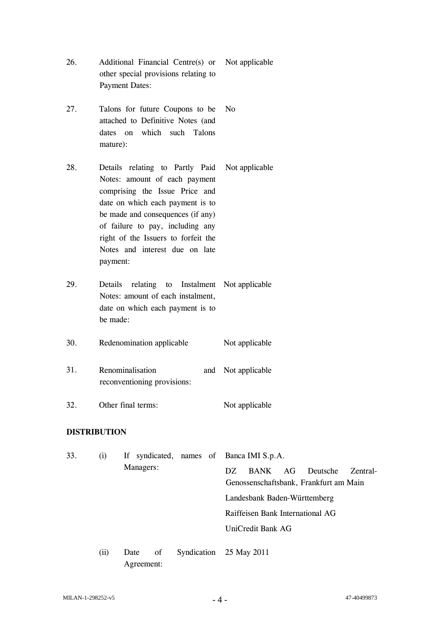| 26. | Additional Financial Centre(s) or Not applicable |  |
|-----|--------------------------------------------------|--|
|     | other special provisions relating to             |  |
|     | Payment Dates:                                   |  |

27. Talons for future Coupons to be attached to Definitive Notes (and dates on which such Talons mature): No

28. Details relating to Partly Paid Notes: amount of each payment comprising the Issue Price and date on which each payment is to be made and consequences (if any) of failure to pay, including any right of the Issuers to forfeit the Notes and interest due on late payment: Not applicable

29. Details relating to Notes: amount of each instalment, date on which each payment is to be made: Instalment Not applicable

30. Redenomination applicable Not applicable

| 31. | Renominalisation            |  | and Not applicable |  |
|-----|-----------------------------|--|--------------------|--|
|     | reconventioning provisions: |  |                    |  |

32. Other final terms: Not applicable

## **DISTRIBUTION**

33. (i) If syndicated, names of Managers: Banca IMI S.p.A. DZ BANK AG Deutsche Zentral-Genossenschaftsbank, Frankfurt am Main Landesbank Baden-Württemberg Raiffeisen Bank International AG UniCredit Bank AG (ii) Date of Syndication 25 May 2011Agreement: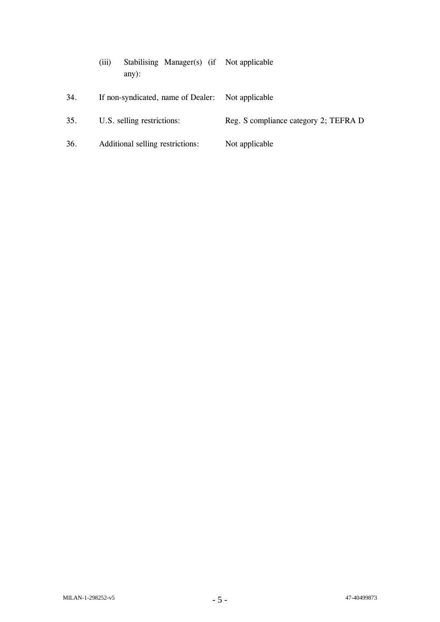|     | (iii) | any): |  | Stabilising Manager(s) (if Not applicable         |  |
|-----|-------|-------|--|---------------------------------------------------|--|
| 34. |       |       |  | If non-syndicated, name of Dealer: Not applicable |  |

- 35. U.S. selling restrictions: Reg. S compliance category 2; TEFRA D
- 36. Additional selling restrictions: Not applicable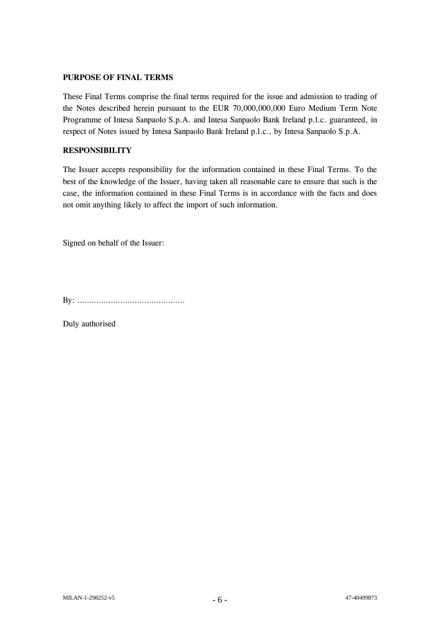## **PURPOSE OF FINAL TERMS**

These Final Terms comprise the final terms required for the issue and admission to trading of the Notes described herein pursuant to the EUR 70,000,000,000 Euro Medium Term Note Programme of Intesa Sanpaolo S.p.A. and Intesa Sanpaolo Bank Ireland p.l.c. guaranteed, in respect of Notes issued by Intesa Sanpaolo Bank Ireland p.l.c., by Intesa Sanpaolo S.p.A.

## **RESPONSIBILITY**

The Issuer accepts responsibility for the information contained in these Final Terms. To the best of the knowledge of the Issuer, having taken all reasonable care to ensure that such is the case, the information contained in these Final Terms is in accordance with the facts and does not omit anything likely to affect the import of such information.

Signed on behalf of the Issuer:

By: ………………………………………

Duly authorised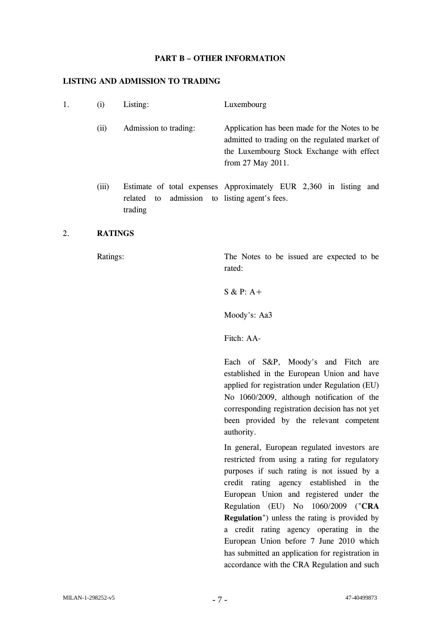#### **PART B – OTHER INFORMATION**

#### **LISTING AND ADMISSION TO TRADING**

| 1. | $\left(1\right)$ | Listing:                 | Luxembourg                                                                                                                                                         |
|----|------------------|--------------------------|--------------------------------------------------------------------------------------------------------------------------------------------------------------------|
|    | (ii)             | Admission to trading:    | Application has been made for the Notes to be.<br>admitted to trading on the regulated market of<br>the Luxembourg Stock Exchange with effect<br>from 27 May 2011. |
|    | (iii)            | to<br>related<br>trading | Estimate of total expenses Approximately EUR 2,360 in listing and<br>admission to listing agent's fees.                                                            |

## 2. **RATINGS**

Ratings: The Notes to be issued are expected to be rated:

S & P: A+

Moody's: Aa3

Fitch: AA-

Each of S&P, Moody's and Fitch are established in the European Union and have applied for registration under Regulation (EU) No 1060/2009, although notification of the corresponding registration decision has not yet been provided by the relevant competent authority.

In general, European regulated investors are restricted from using a rating for regulatory purposes if such rating is not issued by a credit rating agency established in the European Union and registered under the Regulation (EU) No 1060/2009 ("**CRA Regulation**") unless the rating is provided by a credit rating agency operating in the European Union before 7 June 2010 which has submitted an application for registration in accordance with the CRA Regulation and such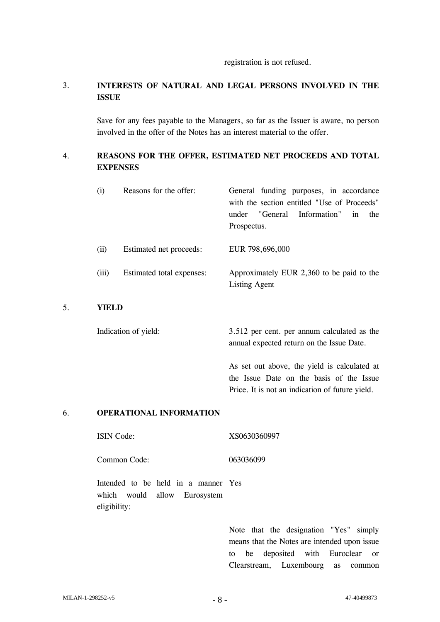#### registration is not refused.

## 3. **INTERESTS OF NATURAL AND LEGAL PERSONS INVOLVED IN THE ISSUE**

Save for any fees payable to the Managers, so far as the Issuer is aware, no person involved in the offer of the Notes has an interest material to the offer.

## 4. **REASONS FOR THE OFFER, ESTIMATED NET PROCEEDS AND TOTAL EXPENSES**

| (i)    | Reasons for the offer:    | General funding purposes, in accordance<br>with the section entitled "Use of Proceeds"<br>under "General Information"<br>the<br>in<br>Prospectus. |
|--------|---------------------------|---------------------------------------------------------------------------------------------------------------------------------------------------|
| (ii)   | Estimated net proceeds:   | EUR 798,696,000                                                                                                                                   |
| (iii)  | Estimated total expenses: | Approximately EUR 2,360 to be paid to the<br><b>Listing Agent</b>                                                                                 |
| VIEI D |                           |                                                                                                                                                   |

### 5. **YIELD**

Indication of yield: 3.512 per cent. per annum calculated as the annual expected return on the Issue Date.

> As set out above, the yield is calculated at the Issue Date on the basis of the Issue Price. It is not an indication of future yield.

#### 6. **OPERATIONAL INFORMATION**

ISIN Code: XS0630360997

Common Code: 063036099

Intended to be held in a manner Yes which would allow Eurosystem eligibility:

> Note that the designation "Yes" simply means that the Notes are intended upon issue to be deposited with Euroclear or Clearstream, Luxembourg as common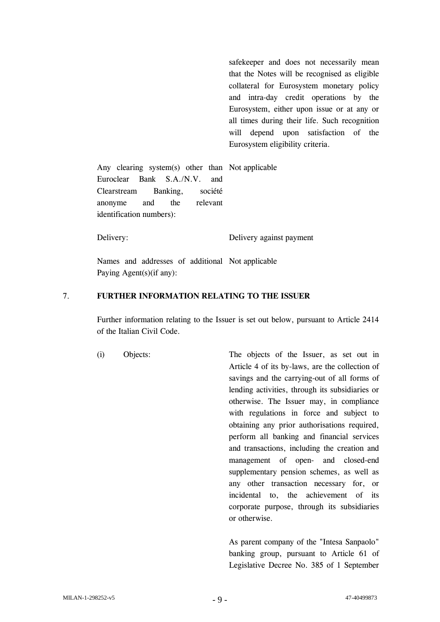safekeeper and does not necessarily mean that the Notes will be recognised as eligible collateral for Eurosystem monetary policy and intra-day credit operations by the Eurosystem, either upon issue or at any or all times during their life. Such recognition will depend upon satisfaction of the Eurosystem eligibility criteria.

Any clearing system(s) other than Not applicable Euroclear Bank S.A./N.V. and Clearstream Banking, société anonyme and the relevant identification numbers):

Delivery: Delivery against payment

Names and addresses of additional Not applicable Paying Agent(s)(if any):

#### 7. **FURTHER INFORMATION RELATING TO THE ISSUER**

Further information relating to the Issuer is set out below, pursuant to Article 2414 of the Italian Civil Code.

(i) Objects: The objects of the Issuer, as set out in Article 4 of its by-laws, are the collection of savings and the carrying-out of all forms of lending activities, through its subsidiaries or otherwise. The Issuer may, in compliance with regulations in force and subject to obtaining any prior authorisations required, perform all banking and financial services and transactions, including the creation and management of open- and closed-end supplementary pension schemes, as well as any other transaction necessary for, or incidental to, the achievement of its corporate purpose, through its subsidiaries or otherwise.

> As parent company of the "Intesa Sanpaolo" banking group, pursuant to Article 61 of Legislative Decree No. 385 of 1 September